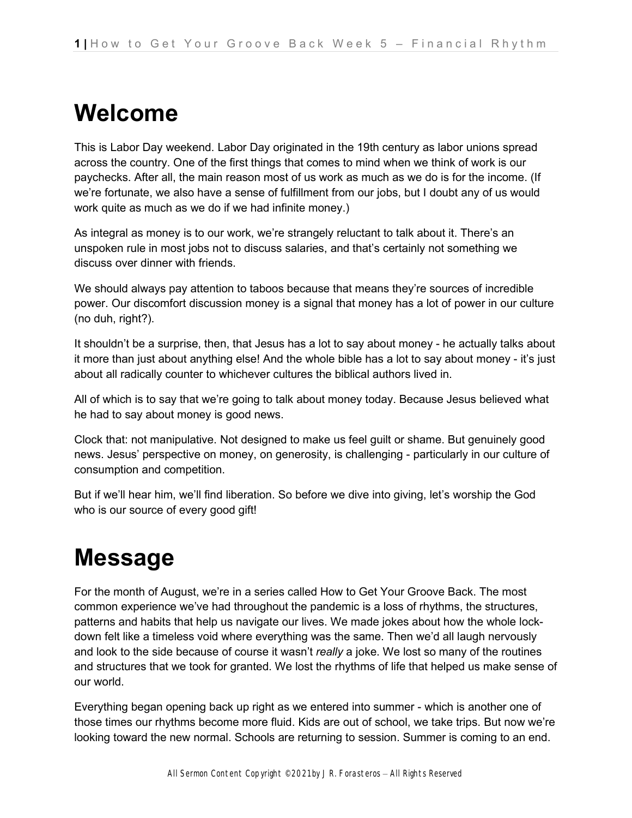## **Welcome**

This is Labor Day weekend. Labor Day originated in the 19th century as labor unions spread across the country. One of the first things that comes to mind when we think of work is our paychecks. After all, the main reason most of us work as much as we do is for the income. (If we're fortunate, we also have a sense of fulfillment from our jobs, but I doubt any of us would work quite as much as we do if we had infinite money.)

As integral as money is to our work, we're strangely reluctant to talk about it. There's an unspoken rule in most jobs not to discuss salaries, and that's certainly not something we discuss over dinner with friends.

We should always pay attention to taboos because that means they're sources of incredible power. Our discomfort discussion money is a signal that money has a lot of power in our culture (no duh, right?).

It shouldn't be a surprise, then, that Jesus has a lot to say about money - he actually talks about it more than just about anything else! And the whole bible has a lot to say about money - it's just about all radically counter to whichever cultures the biblical authors lived in.

All of which is to say that we're going to talk about money today. Because Jesus believed what he had to say about money is good news.

Clock that: not manipulative. Not designed to make us feel guilt or shame. But genuinely good news. Jesus' perspective on money, on generosity, is challenging - particularly in our culture of consumption and competition.

But if we'll hear him, we'll find liberation. So before we dive into giving, let's worship the God who is our source of every good gift!

# **Message**

For the month of August, we're in a series called How to Get Your Groove Back. The most common experience we've had throughout the pandemic is a loss of rhythms, the structures, patterns and habits that help us navigate our lives. We made jokes about how the whole lockdown felt like a timeless void where everything was the same. Then we'd all laugh nervously and look to the side because of course it wasn't *really* a joke. We lost so many of the routines and structures that we took for granted. We lost the rhythms of life that helped us make sense of our world.

Everything began opening back up right as we entered into summer - which is another one of those times our rhythms become more fluid. Kids are out of school, we take trips. But now we're looking toward the new normal. Schools are returning to session. Summer is coming to an end.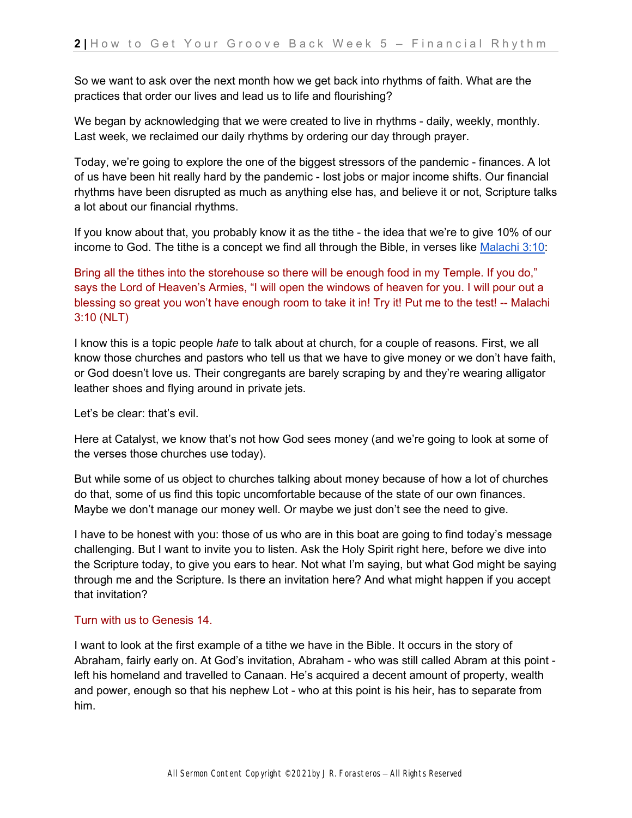So we want to ask over the next month how we get back into rhythms of faith. What are the practices that order our lives and lead us to life and flourishing?

We began by acknowledging that we were created to live in rhythms - daily, weekly, monthly. Last week, we reclaimed our daily rhythms by ordering our day through prayer.

Today, we're going to explore the one of the biggest stressors of the pandemic - finances. A lot of us have been hit really hard by the pandemic - lost jobs or major income shifts. Our financial rhythms have been disrupted as much as anything else has, and believe it or not, Scripture talks a lot about our financial rhythms.

If you know about that, you probably know it as the tithe - the idea that we're to give 10% of our income to God. The tithe is a concept we find all through the Bible, in verses lik[e](https://ref.ly/logosref/bible.39.3.10) [Malachi 3:10:](https://ref.ly/logosref/bible.39.3.10)

Bring all the tithes into the storehouse so there will be enough food in my Temple. If you do," says the Lord of Heaven's Armies, "I will open the windows of heaven for you. I will pour out a blessing so great you won't have enough room to take it in! Try it! Put me to the test! -- Malachi 3:10 (NLT)

I know this is a topic people *hate* to talk about at church, for a couple of reasons. First, we all know those churches and pastors who tell us that we have to give money or we don't have faith, or God doesn't love us. Their congregants are barely scraping by and they're wearing alligator leather shoes and flying around in private jets.

Let's be clear: that's evil.

Here at Catalyst, we know that's not how God sees money (and we're going to look at some of the verses those churches use today).

But while some of us object to churches talking about money because of how a lot of churches do that, some of us find this topic uncomfortable because of the state of our own finances. Maybe we don't manage our money well. Or maybe we just don't see the need to give.

I have to be honest with you: those of us who are in this boat are going to find today's message challenging. But I want to invite you to listen. Ask the Holy Spirit right here, before we dive into the Scripture today, to give you ears to hear. Not what I'm saying, but what God might be saying through me and the Scripture. Is there an invitation here? And what might happen if you accept that invitation?

### Turn with us to Genesis 14.

I want to look at the first example of a tithe we have in the Bible. It occurs in the story of Abraham, fairly early on. At God's invitation, Abraham - who was still called Abram at this point left his homeland and travelled to Canaan. He's acquired a decent amount of property, wealth and power, enough so that his nephew Lot - who at this point is his heir, has to separate from him.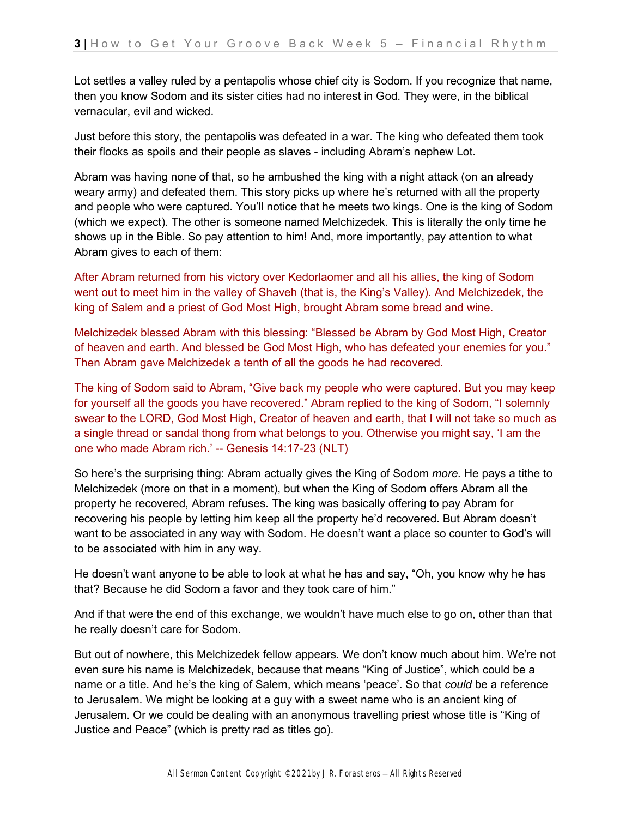Lot settles a valley ruled by a pentapolis whose chief city is Sodom. If you recognize that name, then you know Sodom and its sister cities had no interest in God. They were, in the biblical vernacular, evil and wicked.

Just before this story, the pentapolis was defeated in a war. The king who defeated them took their flocks as spoils and their people as slaves - including Abram's nephew Lot.

Abram was having none of that, so he ambushed the king with a night attack (on an already weary army) and defeated them. This story picks up where he's returned with all the property and people who were captured. You'll notice that he meets two kings. One is the king of Sodom (which we expect). The other is someone named Melchizedek. This is literally the only time he shows up in the Bible. So pay attention to him! And, more importantly, pay attention to what Abram gives to each of them:

After Abram returned from his victory over Kedorlaomer and all his allies, the king of Sodom went out to meet him in the valley of Shaveh (that is, the King's Valley). And Melchizedek, the king of Salem and a priest of God Most High, brought Abram some bread and wine.

Melchizedek blessed Abram with this blessing: "Blessed be Abram by God Most High, Creator of heaven and earth. And blessed be God Most High, who has defeated your enemies for you." Then Abram gave Melchizedek a tenth of all the goods he had recovered.

The king of Sodom said to Abram, "Give back my people who were captured. But you may keep for yourself all the goods you have recovered." Abram replied to the king of Sodom, "I solemnly swear to the LORD, God Most High, Creator of heaven and earth, that I will not take so much as a single thread or sandal thong from what belongs to you. Otherwise you might say, 'I am the one who made Abram rich.' -- Genesis 14:17-23 (NLT)

So here's the surprising thing: Abram actually gives the King of Sodom *more.* He pays a tithe to Melchizedek (more on that in a moment), but when the King of Sodom offers Abram all the property he recovered, Abram refuses. The king was basically offering to pay Abram for recovering his people by letting him keep all the property he'd recovered. But Abram doesn't want to be associated in any way with Sodom. He doesn't want a place so counter to God's will to be associated with him in any way.

He doesn't want anyone to be able to look at what he has and say, "Oh, you know why he has that? Because he did Sodom a favor and they took care of him."

And if that were the end of this exchange, we wouldn't have much else to go on, other than that he really doesn't care for Sodom.

But out of nowhere, this Melchizedek fellow appears. We don't know much about him. We're not even sure his name is Melchizedek, because that means "King of Justice", which could be a name or a title. And he's the king of Salem, which means 'peace'. So that *could* be a reference to Jerusalem. We might be looking at a guy with a sweet name who is an ancient king of Jerusalem. Or we could be dealing with an anonymous travelling priest whose title is "King of Justice and Peace" (which is pretty rad as titles go).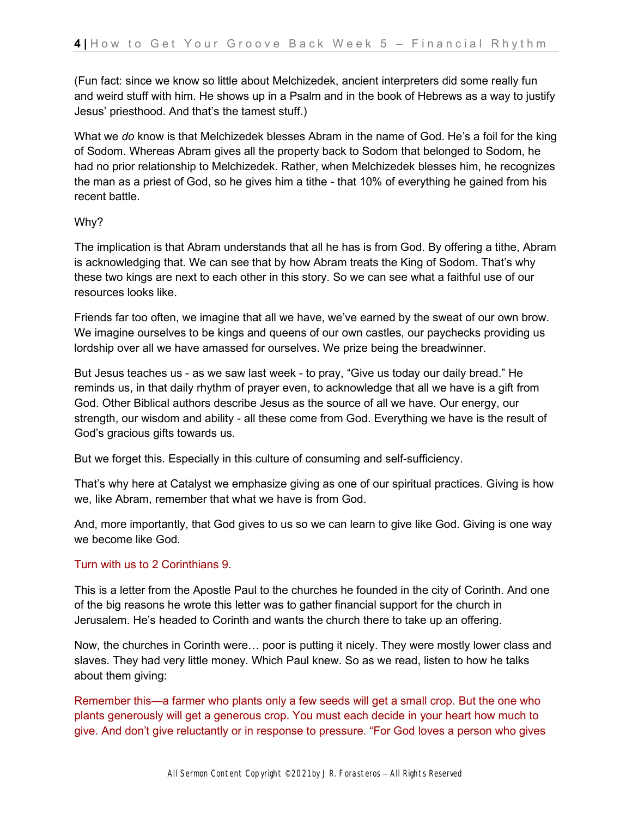(Fun fact: since we know so little about Melchizedek, ancient interpreters did some really fun and weird stuff with him. He shows up in a Psalm and in the book of Hebrews as a way to justify Jesus' priesthood. And that's the tamest stuff.)

What we *do* know is that Melchizedek blesses Abram in the name of God. He's a foil for the king of Sodom. Whereas Abram gives all the property back to Sodom that belonged to Sodom, he had no prior relationship to Melchizedek. Rather, when Melchizedek blesses him, he recognizes the man as a priest of God, so he gives him a tithe - that 10% of everything he gained from his recent battle.

### Why?

The implication is that Abram understands that all he has is from God. By offering a tithe, Abram is acknowledging that. We can see that by how Abram treats the King of Sodom. That's why these two kings are next to each other in this story. So we can see what a faithful use of our resources looks like.

Friends far too often, we imagine that all we have, we've earned by the sweat of our own brow. We imagine ourselves to be kings and queens of our own castles, our paychecks providing us lordship over all we have amassed for ourselves. We prize being the breadwinner.

But Jesus teaches us - as we saw last week - to pray, "Give us today our daily bread." He reminds us, in that daily rhythm of prayer even, to acknowledge that all we have is a gift from God. Other Biblical authors describe Jesus as the source of all we have. Our energy, our strength, our wisdom and ability - all these come from God. Everything we have is the result of God's gracious gifts towards us.

But we forget this. Especially in this culture of consuming and self-sufficiency.

That's why here at Catalyst we emphasize giving as one of our spiritual practices. Giving is how we, like Abram, remember that what we have is from God.

And, more importantly, that God gives to us so we can learn to give like God. Giving is one way we become like God.

#### Turn with us to 2 Corinthians 9.

This is a letter from the Apostle Paul to the churches he founded in the city of Corinth. And one of the big reasons he wrote this letter was to gather financial support for the church in Jerusalem. He's headed to Corinth and wants the church there to take up an offering.

Now, the churches in Corinth were… poor is putting it nicely. They were mostly lower class and slaves. They had very little money. Which Paul knew. So as we read, listen to how he talks about them giving:

Remember this—a farmer who plants only a few seeds will get a small crop. But the one who plants generously will get a generous crop. You must each decide in your heart how much to give. And don't give reluctantly or in response to pressure. "For God loves a person who gives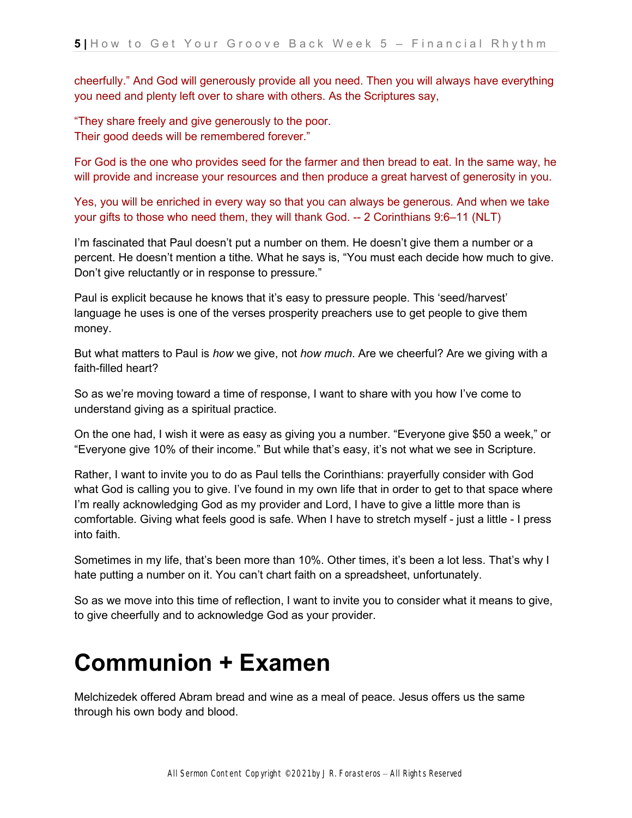cheerfully." And God will generously provide all you need. Then you will always have everything you need and plenty left over to share with others. As the Scriptures say,

"They share freely and give generously to the poor. Their good deeds will be remembered forever."

For God is the one who provides seed for the farmer and then bread to eat. In the same way, he will provide and increase your resources and then produce a great harvest of generosity in you.

Yes, you will be enriched in every way so that you can always be generous. And when we take your gifts to those who need them, they will thank God. -- 2 Corinthians 9:6–11 (NLT)

I'm fascinated that Paul doesn't put a number on them. He doesn't give them a number or a percent. He doesn't mention a tithe. What he says is, "You must each decide how much to give. Don't give reluctantly or in response to pressure."

Paul is explicit because he knows that it's easy to pressure people. This 'seed/harvest' language he uses is one of the verses prosperity preachers use to get people to give them money.

But what matters to Paul is *how* we give, not *how much*. Are we cheerful? Are we giving with a faith-filled heart?

So as we're moving toward a time of response, I want to share with you how I've come to understand giving as a spiritual practice.

On the one had, I wish it were as easy as giving you a number. "Everyone give \$50 a week," or "Everyone give 10% of their income." But while that's easy, it's not what we see in Scripture.

Rather, I want to invite you to do as Paul tells the Corinthians: prayerfully consider with God what God is calling you to give. I've found in my own life that in order to get to that space where I'm really acknowledging God as my provider and Lord, I have to give a little more than is comfortable. Giving what feels good is safe. When I have to stretch myself - just a little - I press into faith.

Sometimes in my life, that's been more than 10%. Other times, it's been a lot less. That's why I hate putting a number on it. You can't chart faith on a spreadsheet, unfortunately.

So as we move into this time of reflection, I want to invite you to consider what it means to give, to give cheerfully and to acknowledge God as your provider.

### **Communion + Examen**

Melchizedek offered Abram bread and wine as a meal of peace. Jesus offers us the same through his own body and blood.